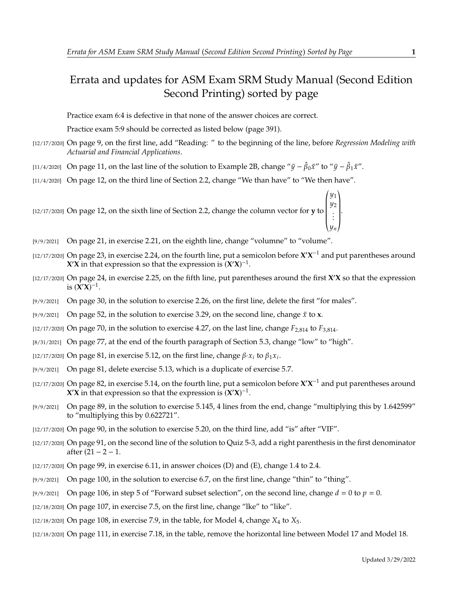## Errata and updates for ASM Exam SRM Study Manual (Second Edition Second Printing) sorted by page

Practice exam 6:4 is defective in that none of the answer choices are correct.

Practice exam 5:9 should be corrected as listed below (page 391).

- [12/17/2020] On page 9, on the first line, add "Reading: " to the beginning of the line, before *Regression Modeling with Actuarial and Financial Applications*.
- [11/4/2020] On page 11, on the last line of the solution to Example 2B, change " $\bar{y} \hat{\beta}_0 \bar{x}$ " to " $\bar{y} \hat{\beta}_1 \bar{x}$ ".
- [11/4/2020] On page 12, on the third line of Section 2.2, change "We than have" to "We then have".

[12/17/2020] On page 12, on the sixth line of Section 2.2, change the column vector for **y** to  $\overline{\ }$ y1<br>110 y2 . . .  $\overline{\phantom{a}}$  $\begin{bmatrix} \frac{1}{2} & \frac{1}{2} \\ \frac{1}{2} & \frac{1}{2} \\ \frac{1}{2} & \frac{1}{2} \end{bmatrix}$ .

- [9/9/2021] On page 21, in exercise 2.21, on the eighth line, change "volumne" to "volume".
- $[12/17/2020]$  On page 23, in exercise 2.24, on the fourth line, put a semicolon before  $X'X^{-1}$  and put parentheses around *X***<sup>** $\mathbf{\hat{X}}$  **in that expression so that the expression is**  $(\mathbf{\hat{X}}'\mathbf{\hat{X}})^{-1}$ **.**</sup>
- [12/17/2020] On page 24, in exercise 2.25, on the fifth line, put parentheses around the first **X** ′**X** so that the expression is  $(\mathbf{X}'\mathbf{X})^{-1}$ .
- [9/9/2021] On page 30, in the solution to exercise 2.26, on the first line, delete the first "for males".
- [9/9/2021] On page 52, in the solution to exercise 3.29, on the second line, change  $\bar{x}$  to **x**.
- [12/17/2020] On page 70, in the solution to exercise 4.27, on the last line, change  $F_{2.814}$  to  $F_{3.814}$ .
- [8/31/2021] On page 77, at the end of the fourth paragraph of Section 5.3, change "low" to "high".
- [12/17/2020] On page 81, in exercise 5.12, on the first line, change  $\beta$   $\alpha_i$  to  $\beta_1 x_i$ .
- [9/9/2021] On page 81, delete exercise 5.13, which is a duplicate of exercise 5.7.
- $[12/17/2020]$  On page 82, in exercise 5.14, on the fourth line, put a semicolon before  $X'X^{-1}$  and put parentheses around **X'X** in that expression so that the expression is  $(X'X)^{-1}$ .
- [9/9/2021] On page 89, in the solution to exercise 5.145, 4 lines from the end, change "multiplying this by 1.642599" to "multiplying this by 0.622721".
- [12/17/2020] On page 90, in the solution to exercise 5.20, on the third line, add "is" after "VIF".
- [12/17/2020] On page 91, on the second line of the solution to Quiz 5-3, add a right parenthesis in the first denominator after (21 − 2 − 1.
- $[12/17/2020]$  On page 99, in exercise 6.11, in answer choices (D) and (E), change 1.4 to 2.4.
- [9/9/2021] On page 100, in the solution to exercise 6.7, on the first line, change "thin" to "thing".
- [9/9/2021] On page 106, in step 5 of "Forward subset selection", on the second line, change  $d = 0$  to  $p = 0$ .
- [12/18/2020] On page 107, in exercise 7.5, on the first line, change "lke" to "like".
- [12/18/2020] On page 108, in exercise 7.9, in the table, for Model 4, change  $X_4$  to  $X_5$ .
- [12/18/2020] On page 111, in exercise 7.18, in the table, remove the horizontal line between Model 17 and Model 18.

 $^{\prime}$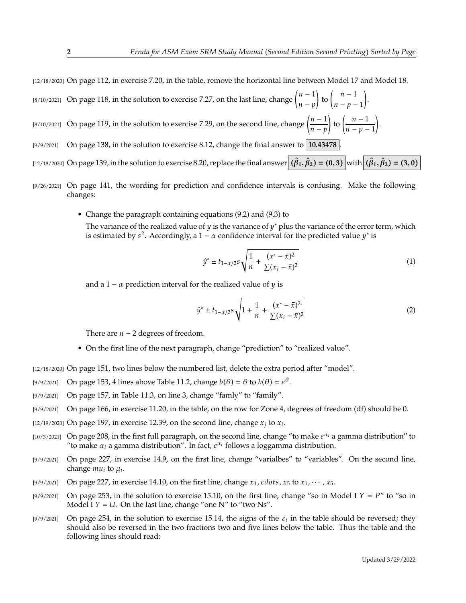[12/18/2020] On page 112, in exercise 7.20, in the table, remove the horizontal line between Model 17 and Model 18.

- [8/10/2021] On page 118, in the solution to exercise 7.27, on the last line, change  $\left(\frac{n-1}{n-m}\right)$  $\frac{n-p}{p}$ to  $\left(\frac{n-1}{n}\right)$  $\frac{n-p-1}{p-1}$  . [8/10/2021] On page 119, in the solution to exercise 7.29, on the second line, change  $\left(\frac{n-1}{n}\right)$  $\frac{n-p}{p}$ to  $\left(\frac{n-1}{n}\right)$  $\overline{n-p-1}$
- [9/9/2021] On page 138, in the solution to exercise 8.12, change the final answer to **10.43478** .
- $\text{(12/18/2020)}$  On page 139, in the solution to exercise 8.20, replace the final answer  $(\hat{\beta}_1, \hat{\beta}_2) = (0, 3)$  with  $(\hat{\beta}_1, \hat{\beta}_2) = (3, 0)$
- [9/26/2021] On page 141, the wording for prediction and confidence intervals is confusing. Make the following changes:
	- Change the paragraph containing equations (9.2) and (9.3) to The variance of the realized value of y is the variance of y<sup>\*</sup> plus the variance of the error term, which is estimated by  $s^2$ , Accordingly a  $1 - \alpha$  confidence interval for the predicted value  $v^*$  is is estimated by  $s^2$ . Accordingly, a 1 –  $\alpha$  confidence interval for the predicted value  $y^*$  is

$$
\hat{y}^* \pm t_{1-\alpha/2} s \sqrt{\frac{1}{n} + \frac{(x^* - \bar{x})^2}{\sum (x_i - \bar{x})^2}}
$$
(1)

.

and a 1 –  $\alpha$  prediction interval for the realized value of  $\gamma$  is

$$
\hat{y}^* \pm t_{1-\alpha/2} s \sqrt{1 + \frac{1}{n} + \frac{(x^* - \bar{x})^2}{\sum (x_i - \bar{x})^2}}
$$
(2)

There are  $n - 2$  degrees of freedom.

- On the first line of the next paragraph, change "prediction" to "realized value".
- [12/18/2020] On page 151, two lines below the numbered list, delete the extra period after "model".
- [9/9/2021] On page 153, 4 lines above Table 11.2, change  $b(\theta) = \theta$  to  $b(\theta) = e^{\theta}$ .
- [9/9/2021] On page 157, in Table 11.3, on line 3, change "famly" to "family".
- [9/9/2021] On page 166, in exercise 11.20, in the table, on the row for Zone 4, degrees of freedom (df) should be 0.
- [12/19/2020] On page 197, in exercise 12.39, on the second line, change  $x_j$  to  $x_i$ .
- [10/3/2021] On page 208, in the first full paragraph, on the second line, change "to make  $e^{\alpha_i}$  a gamma distribution" to "to make  $\alpha_i$  a gamma distribution". In fact  $e^{\alpha_i}$  follows a loggamma distribution "to make  $\alpha_i$  a gamma distribution". In fact,  $e^{\alpha_i}$  follows a loggamma distribution.
- [9/9/2021] On page 227, in exercise 14.9, on the first line, change "varialbes" to "variables". On the second line, change  $mu_i$  to  $\mu_i$ .
- [9/9/2021] On page 227, in exercise 14.10, on the first line, change  $x_1$ , cdots,  $x_5$  to  $x_1$ ,  $\cdots$ ,  $x_5$ .
- [9/9/2021] On page 253, in the solution to exercise 15.10, on the first line, change "so in Model I  $Y = P$ " to "so in Model I  $Y = U$ . On the last line, change "one N" to "two Ns".
- [9/9/2021] On page 254, in the solution to exercise 15.14, the signs of the  $\varepsilon_i$  in the table should be reversed; they should also be reversed in the two fractions two and five lines below the table. Thus the table and should also be reversed in the two fractions two and five lines below the table. Thus the table and the following lines should read: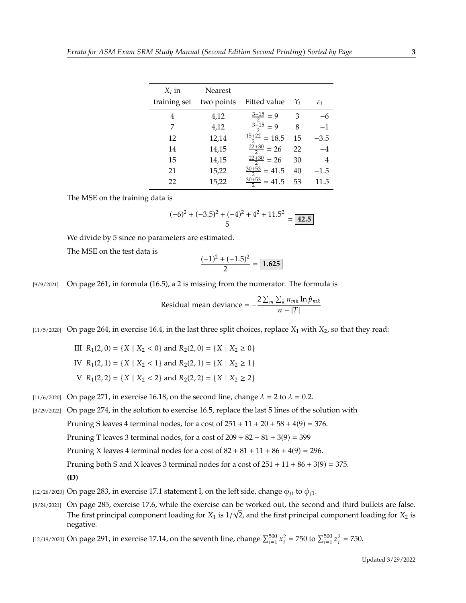| $X_i$ in<br>training set | <b>Nearest</b><br>two points | Fitted value             | $Y_i$ | $\varepsilon_i$ |
|--------------------------|------------------------------|--------------------------|-------|-----------------|
| 4                        | 4,12                         | $\frac{3+15}{2} = 9$     | 3     | -6              |
| 7                        | 4,12                         | $\frac{3+15}{2} = 9$     | 8     | $-1$            |
| 12                       | 12,14                        | $\frac{15+22}{2} = 18.5$ | 15    | $-3.5$          |
| 14                       | 14,15                        | $\frac{22+30}{2}$ = 26   | 22    | $-4$            |
| 15                       | 14,15                        | $\frac{22+30}{2}$ = 26   | 30    | 4               |
| 21                       | 15,22                        | $\frac{30+53}{2}$ = 41.5 | 40    | $-1.5$          |
| 22                       | 15,22                        | $\frac{30+53}{2}$ = 41.5 | 53    | 11.5            |

The MSE on the training data is

$$
\frac{(-6)^2 + (-3.5)^2 + (-4)^2 + 4^2 + 11.5^2}{5} = \boxed{42.5}
$$

We divide by 5 since no parameters are estimated.

The MSE on the test data is

$$
\frac{(-1)^2 + (-1.5)^2}{2} = \boxed{1.625}
$$

[9/9/2021] On page 261, in formula (16.5), a 2 is missing from the numerator. The formula is

Residual mean deviance = 
$$
-\frac{2\sum_{m}\sum_{k}n_{mk}\ln\hat{p}_{mk}}{n-|T|}
$$

[11/5/2020] On page 264, in exercise 16.4, in the last three split choices, replace  $X_1$  with  $X_2$ , so that they read:

\nIII 
$$
R_1(2, 0) = \{X \mid X_2 < 0\}
$$
 and  $R_2(2, 0) = \{X \mid X_2 \geq 0\}$ \n

\n\nIV  $R_1(2, 1) = \{X \mid X_2 < 1\}$  and  $R_2(2, 1) = \{X \mid X_2 \geq 1\}$ \n

\n\nV  $R_1(2, 2) = \{X \mid X_2 < 2\}$  and  $R_2(2, 2) = \{X \mid X_2 \geq 2\}$ \n

[11/6/2020] On page 271, in exercise 16.18, on the second line, change  $\lambda = 2$  to  $\lambda = 0.2$ .

[3/29/2022] On page 274, in the solution to exercise 16.5, replace the last 5 lines of the solution with Pruning S leaves 4 terminal nodes, for a cost of  $251 + 11 + 20 + 58 + 4(9) = 376$ . Pruning T leaves 3 terminal nodes, for a cost of  $209 + 82 + 81 + 3(9) = 399$ Pruning X leaves 4 terminal nodes for a cost of  $82 + 81 + 11 + 86 + 4(9) = 296$ . Pruning both S and X leaves 3 terminal nodes for a cost of  $251 + 11 + 86 + 3(9) = 375$ . **(D)**

- [12/26/2020] On page 283, in exercise 17.1 statement I, on the left side, change  $\phi_{ji}$  to  $\phi_{j1}$ .
- [8/24/2021] On page 285, exercise 17.6, while the exercise can be worked out, the second and third bullets are false. The first principal component loading for  $X_1$  is  $1/\sqrt{2}$ , and the first principal component loading for  $X_2$  is negative negative.

[12/19/2020] On page 291, in exercise 17.14, on the seventh line, change  $\sum_{i=1}^{500}$  x  $\sum_{i=1}^{2}$  = 750 to  $\sum_{i=1}^{500} z$  $2^2 = 750.$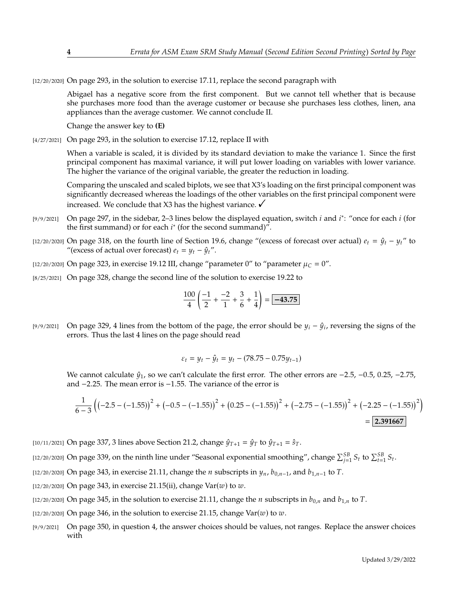[12/20/2020] On page 293, in the solution to exercise 17.11, replace the second paragraph with

Abigael has a negative score from the first component. But we cannot tell whether that is because she purchases more food than the average customer or because she purchases less clothes, linen, ana appliances than the average customer. We cannot conclude II.

Change the answer key to **(E)**

[4/27/2021] On page 293, in the solution to exercise 17.12, replace II with

When a variable is scaled, it is divided by its standard deviation to make the variance 1. Since the first principal component has maximal variance, it will put lower loading on variables with lower variance. The higher the variance of the original variable, the greater the reduction in loading.

Comparing the unscaled and scaled biplots, we see that X3's loading on the first principal component was significantly decreased whereas the loadings of the other variables on the first principal component were increased. We conclude that X3 has the highest variance.  $\checkmark$ 

- [9/9/2021] On page 297, in the sidebar, 2–3 lines below the displayed equation, switch *i* and *i*<sup>\*</sup>: "once for each *i* (for the first summand) or for each *i*<sup>\*</sup> (for the second summand)" the first summand) or for each  $i^*$  (for the second summand)".
- [12/20/2020] On page 318, on the fourth line of Section 19.6, change "(excess of forecast over actual)  $e_t = \hat{y}_t y_t$ " to "(excess of actual over forecast)  $e_t = y_t - \hat{y}_t$ ".
- [12/20/2020] On page 323, in exercise 19.12 III, change "parameter 0" to "parameter  $\mu_C = 0$ ".
- [8/25/2021] On page 328, change the second line of the solution to exercise 19.22 to

$$
\frac{100}{4} \left( \frac{-1}{2} + \frac{-2}{1} + \frac{3}{6} + \frac{1}{4} \right) = \boxed{-43.75}
$$

[9/9/2021] On page 329, 4 lines from the bottom of the page, the error should be  $y_i - \hat{y}_i$ , reversing the signs of the errors. Thus the last 4 lines on the page should read errors. Thus the last 4 lines on the page should read

$$
\varepsilon_t = y_t - \hat{y}_t = y_t - (78.75 - 0.75y_{t-1})
$$

We cannot calculate  $\hat{y}_1$ , so we can't calculate the first error. The other errors are  $-2.5$ ,  $-0.5$ , 0.25,  $-2.75$ , and <sup>−</sup>2.25. The mean error is <sup>−</sup>1.55. The variance of the error is

$$
\frac{1}{6-3}\left(\left(-2.5 - \left(-1.55\right)\right)^2 + \left(-0.5 - \left(-1.55\right)\right)^2 + \left(0.25 - \left(-1.55\right)\right)^2 + \left(-2.75 - \left(-1.55\right)\right)^2 + \left(-2.25 - \left(-1.55\right)\right)^2\right)
$$
\n
$$
= 2.391667
$$

- [10/11/2021] On page 337, 3 lines above Section 21.2, change  $\hat{y}_{T+1} = \hat{y}_T$  to  $\hat{y}_{T+1} = \hat{s}_T$ .
- [12/20/2020] On page 339, on the ninth line under "Seasonal exponential smoothing", change  $\sum_{j=1}^{5B} S_t$  to  $\sum_{t=1}^{5B} S_t$ .
- [12/20/2020] On page 343, in exercise 21.11, change the *n* subscripts in  $y_n$ ,  $b_{0,n-1}$ , and  $b_{1,n-1}$  to T.
- [12/20/2020] On page 343, in exercise 21.15(ii), change  $Var(w)$  to  $w$ .
- [12/20/2020] On page 345, in the solution to exercise 21.11, change the *n* subscripts in  $b_{0,n}$  and  $b_{1,n}$  to T.
- [12/20/2020] On page 346, in the solution to exercise 21.15, change  $Var(w)$  to  $w$ .
- [9/9/2021] On page 350, in question 4, the answer choices should be values, not ranges. Replace the answer choices with